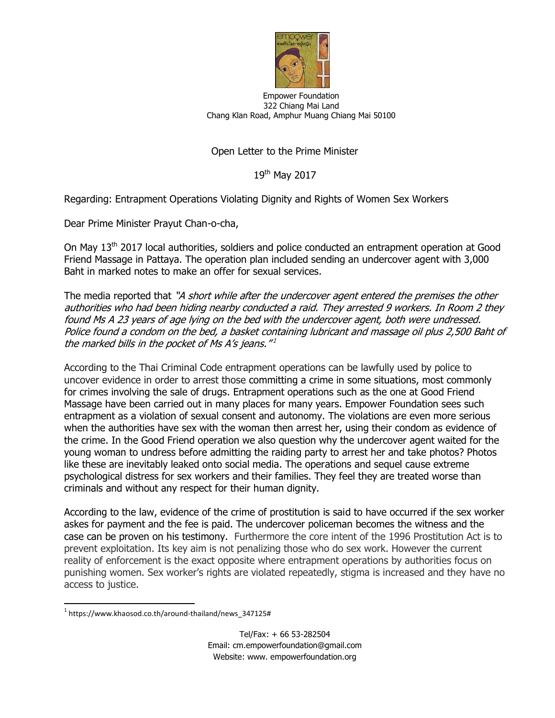

Empower Foundation 322 Chiang Mai Land Chang Klan Road, Amphur Muang Chiang Mai 50100

## Open Letter to the Prime Minister

19<sup>th</sup> May 2017

Regarding: Entrapment Operations Violating Dignity and Rights of Women Sex Workers

Dear Prime Minister Prayut Chan-o-cha,

On May 13<sup>th</sup> 2017 local authorities, soldiers and police conducted an entrapment operation at Good Friend Massage in Pattaya. The operation plan included sending an undercover agent with 3,000 Baht in marked notes to make an offer for sexual services.

The media reported that "A short while after the undercover agent entered the premises the other authorities who had been hiding nearby conducted a raid. They arrested 9 workers. In Room 2 they found Ms A 23 years of age lying on the bed with the undercover agent, both were undressed. Police found a condom on the bed, a basket containing lubricant and massage oil plus 2,500 Baht of the marked bills in the pocket of Ms A's jeans."<sup>1</sup>

According to the Thai Criminal Code entrapment operations can be lawfully used by police to uncover evidence in order to arrest those committing a crime in some situations, most commonly for crimes involving the sale of drugs. Entrapment operations such as the one at Good Friend Massage have been carried out in many places for many years. Empower Foundation sees such entrapment as a violation of sexual consent and autonomy. The violations are even more serious when the authorities have sex with the woman then arrest her, using their condom as evidence of the crime. In the Good Friend operation we also question why the undercover agent waited for the young woman to undress before admitting the raiding party to arrest her and take photos? Photos like these are inevitably leaked onto social media. The operations and sequel cause extreme psychological distress for sex workers and their families. They feel they are treated worse than criminals and without any respect for their human dignity.

According to the law, evidence of the crime of prostitution is said to have occurred if the sex worker askes for payment and the fee is paid. The undercover policeman becomes the witness and the case can be proven on his testimony. Furthermore the core intent of the 1996 Prostitution Act is to prevent exploitation. Its key aim is not penalizing those who do sex work. However the current reality of enforcement is the exact opposite where entrapment operations by authorities focus on punishing women. Sex worker's rights are violated repeatedly, stigma is increased and they have no access to justice.

 $\overline{a}$ 1 https://www.khaosod.co.th/around-thailand/news\_347125#